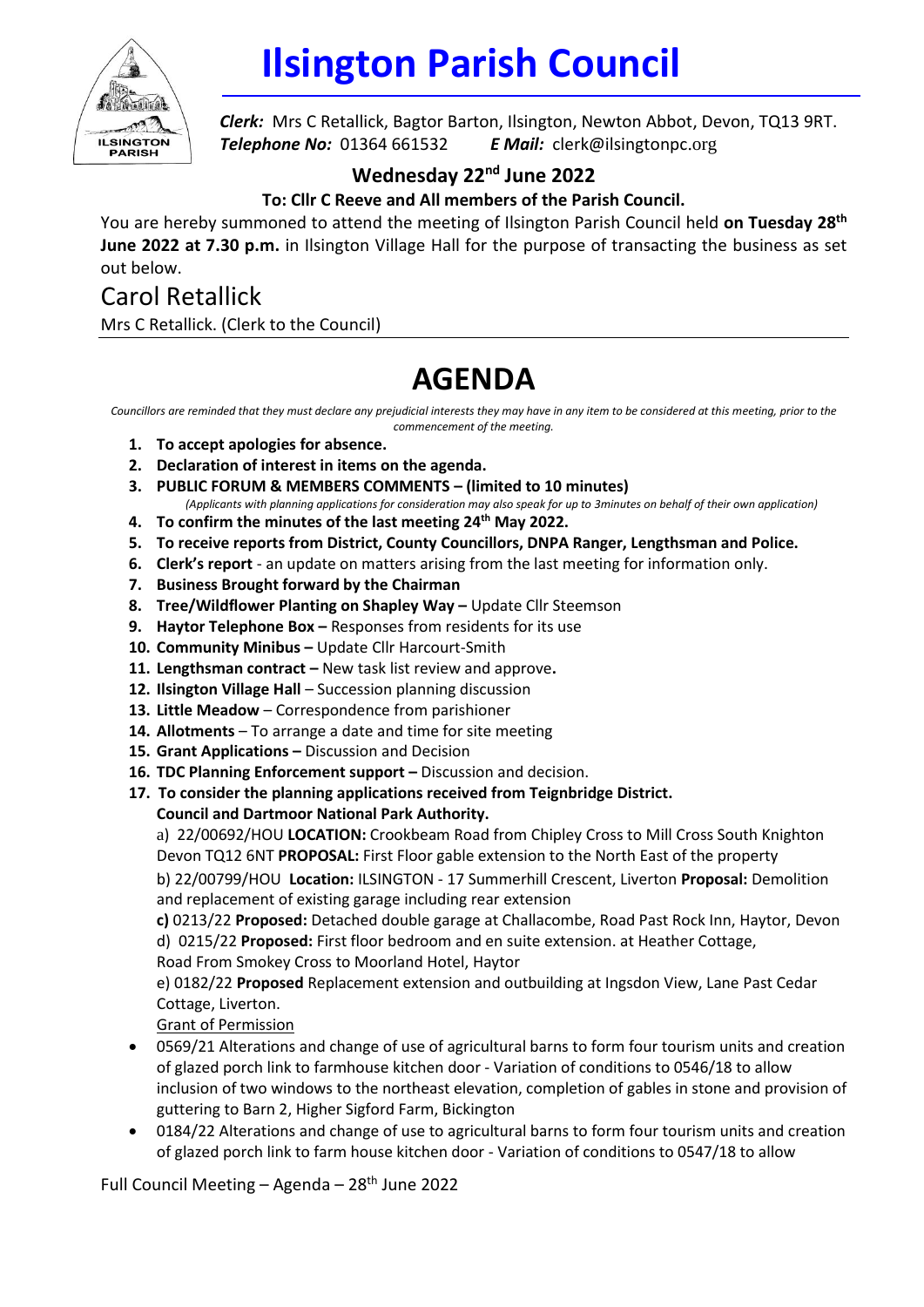

## **Ilsington Parish Council**

*Clerk:* Mrs C Retallick, Bagtor Barton, Ilsington, Newton Abbot, Devon, TQ13 9RT. *Telephone No:* 01364 661532 *E Mail:* clerk@ilsingtonpc.org

## **Wednesday 22<sup>nd</sup> June 2022**

**To: Cllr C Reeve and All members of the Parish Council.**

You are hereby summoned to attend the meeting of Ilsington Parish Council held **on Tuesday 28 th June 2022 at 7.30 p.m.** in Ilsington Village Hall for the purpose of transacting the business as set out below.

## Carol Retallick Mrs C Retallick. (Clerk to the Council)

## **AGENDA**

*Councillors are reminded that they must declare any prejudicial interests they may have in any item to be considered at this meeting, prior to the commencement of the meeting.*

- **1. To accept apologies for absence.**
- **2. Declaration of interest in items on the agenda.**
- **3. PUBLIC FORUM & MEMBERS COMMENTS – (limited to 10 minutes)**
	- *(Applicants with planning applications for consideration may also speak for up to 3minutes on behalf of their own application)*
- **4. To confirm the minutes of the last meeting 24 th May 2022.**
- **5. To receive reports from District, County Councillors, DNPA Ranger, Lengthsman and Police.**
- **6. Clerk's report** an update on matters arising from the last meeting for information only.
- **7. Business Brought forward by the Chairman**
- 8. **Tree/Wildflower Planting on Shapley Way -** Update Cllr Steemson
- **9. Haytor Telephone Box –** Responses from residents for its use
- **10. Community Minibus –** Update Cllr Harcourt-Smith
- **11. Lengthsman contract –** New task list review and approve**.**
- 12. **Ilsington Village Hall** Succession planning discussion
- **13. Little Meadow**  Correspondence from parishioner
- **14. Allotments**  To arrange a date and time for site meeting
- **15. Grant Applications –** Discussion and Decision
- **16. TDC Planning Enforcement support –** Discussion and decision.
- **17. To consider the planning applications received from Teignbridge District.**
	- **Council and Dartmoor National Park Authority.**

a) 22/00692/HOU **LOCATION:** Crookbeam Road from Chipley Cross to Mill Cross South Knighton Devon TQ12 6NT **PROPOSAL:** First Floor gable extension to the North East of the property

b) 22/00799/HOU **Location:** ILSINGTON - 17 Summerhill Crescent, Liverton **Proposal:** Demolition and replacement of existing garage including rear extension

**c)** 0213/22 **Proposed:** Detached double garage at Challacombe, Road Past Rock Inn, Haytor, Devon d) 0215/22 **Proposed:** First floor bedroom and en suite extension. at Heather Cottage,

Road From Smokey Cross to Moorland Hotel, Haytor

e) 0182/22 **Proposed** Replacement extension and outbuilding at Ingsdon View, Lane Past Cedar Cottage, Liverton.

Grant of Permission

- 0569/21 Alterations and change of use of agricultural barns to form four tourism units and creation of glazed porch link to farmhouse kitchen door - Variation of conditions to 0546/18 to allow inclusion of two windows to the northeast elevation, completion of gables in stone and provision of guttering to Barn 2, Higher Sigford Farm, Bickington
- 0184/22 Alterations and change of use to agricultural barns to form four tourism units and creation of glazed porch link to farm house kitchen door - Variation of conditions to 0547/18 to allow

Full Council Meeting - Agenda - 28<sup>th</sup> June 2022